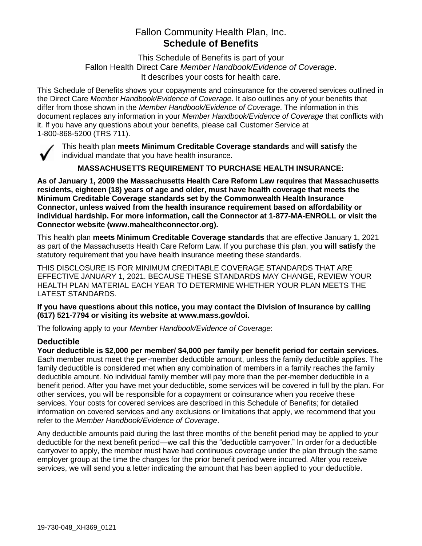# Fallon Community Health Plan, Inc. **Schedule of Benefits**

This Schedule of Benefits is part of your Fallon Health Direct Care *Member Handbook/Evidence of Coverage*. It describes your costs for health care.

This Schedule of Benefits shows your copayments and coinsurance for the covered services outlined in the Direct Care *Member Handbook/Evidence of Coverage*. It also outlines any of your benefits that differ from those shown in the *Member Handbook/Evidence of Coverage*. The information in this document replaces any information in your *Member Handbook/Evidence of Coverage* that conflicts with it. If you have any questions about your benefits, please call Customer Service at 1-800-868-5200 (TRS 711).



This health plan **meets Minimum Creditable Coverage standards** and **will satisfy** the individual mandate that you have health insurance.

**MASSACHUSETTS REQUIREMENT TO PURCHASE HEALTH INSURANCE:**

**As of January 1, 2009 the Massachusetts Health Care Reform Law requires that Massachusetts residents, eighteen (18) years of age and older, must have health coverage that meets the Minimum Creditable Coverage standards set by the Commonwealth Health Insurance Connector, unless waived from the health insurance requirement based on affordability or individual hardship. For more information, call the Connector at 1-877-MA-ENROLL or visit the Connector website (www.mahealthconnector.org).**

This health plan **meets Minimum Creditable Coverage standards** that are effective January 1, 2021 as part of the Massachusetts Health Care Reform Law. If you purchase this plan, you **will satisfy** the statutory requirement that you have health insurance meeting these standards.

THIS DISCLOSURE IS FOR MINIMUM CREDITABLE COVERAGE STANDARDS THAT ARE EFFECTIVE JANUARY 1, 2021. BECAUSE THESE STANDARDS MAY CHANGE, REVIEW YOUR HEALTH PLAN MATERIAL EACH YEAR TO DETERMINE WHETHER YOUR PLAN MEETS THE LATEST STANDARDS.

**If you have questions about this notice, you may contact the Division of Insurance by calling (617) 521-7794 or visiting its website at www.mass.gov/doi.** 

The following apply to your *Member Handbook/Evidence of Coverage*:

# **Deductible**

**Your deductible is \$2,000 per member/ \$4,000 per family per benefit period for certain services.** Each member must meet the per-member deductible amount, unless the family deductible applies. The family deductible is considered met when any combination of members in a family reaches the family deductible amount. No individual family member will pay more than the per-member deductible in a benefit period. After you have met your deductible, some services will be covered in full by the plan. For other services, you will be responsible for a copayment or coinsurance when you receive these services. Your costs for covered services are described in this Schedule of Benefits; for detailed information on covered services and any exclusions or limitations that apply, we recommend that you refer to the *Member Handbook/Evidence of Coverage*.

Any deductible amounts paid during the last three months of the benefit period may be applied to your deductible for the next benefit period—we call this the "deductible carryover." In order for a deductible carryover to apply, the member must have had continuous coverage under the plan through the same employer group at the time the charges for the prior benefit period were incurred. After you receive services, we will send you a letter indicating the amount that has been applied to your deductible.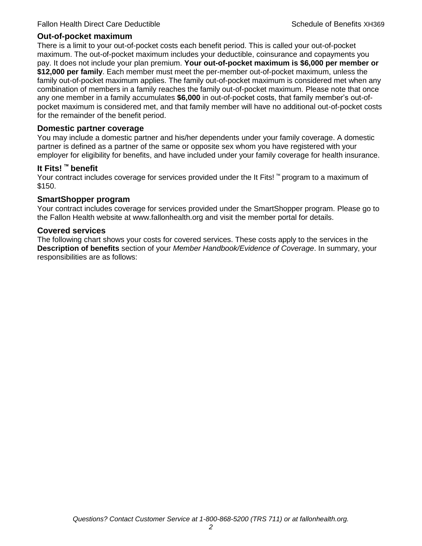## **Out-of-pocket maximum**

There is a limit to your out-of-pocket costs each benefit period. This is called your out-of-pocket maximum. The out-of-pocket maximum includes your deductible, coinsurance and copayments you pay. It does not include your plan premium. **Your out-of-pocket maximum is \$6,000 per member or \$12,000 per family**. Each member must meet the per-member out-of-pocket maximum, unless the family out-of-pocket maximum applies. The family out-of-pocket maximum is considered met when any combination of members in a family reaches the family out-of-pocket maximum. Please note that once any one member in a family accumulates **\$6,000** in out-of-pocket costs, that family member's out-ofpocket maximum is considered met, and that family member will have no additional out-of-pocket costs for the remainder of the benefit period.

### **Domestic partner coverage**

You may include a domestic partner and his/her dependents under your family coverage. A domestic partner is defined as a partner of the same or opposite sex whom you have registered with your employer for eligibility for benefits, and have included under your family coverage for health insurance.

## **It Fits! ™ benefit**

Your contract includes coverage for services provided under the It Fits! ™ program to a maximum of \$150.

## **SmartShopper program**

Your contract includes coverage for services provided under the SmartShopper program. Please go to the Fallon Health website at www.fallonhealth.org and visit the member portal for details.

#### **Covered services**

The following chart shows your costs for covered services. These costs apply to the services in the **Description of benefits** section of your *Member Handbook/Evidence of Coverage*. In summary, your responsibilities are as follows: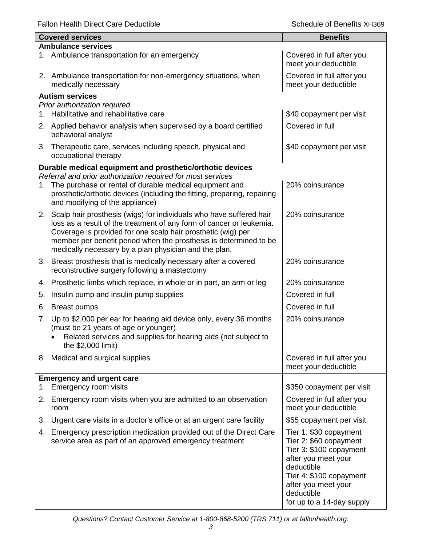Fallon Health Direct Care Deductible **Schedule of Benefits XH369** Schedule of Benefits XH369

|                           | <b>Covered services</b>                                                                                                                                                                                                                                                                                                                      | <b>Benefits</b>                                                                                                                                                                                               |  |  |
|---------------------------|----------------------------------------------------------------------------------------------------------------------------------------------------------------------------------------------------------------------------------------------------------------------------------------------------------------------------------------------|---------------------------------------------------------------------------------------------------------------------------------------------------------------------------------------------------------------|--|--|
| <b>Ambulance services</b> |                                                                                                                                                                                                                                                                                                                                              |                                                                                                                                                                                                               |  |  |
|                           | 1. Ambulance transportation for an emergency                                                                                                                                                                                                                                                                                                 | Covered in full after you<br>meet your deductible                                                                                                                                                             |  |  |
|                           | 2. Ambulance transportation for non-emergency situations, when<br>medically necessary                                                                                                                                                                                                                                                        | Covered in full after you<br>meet your deductible                                                                                                                                                             |  |  |
|                           | <b>Autism services</b>                                                                                                                                                                                                                                                                                                                       |                                                                                                                                                                                                               |  |  |
|                           | Prior authorization required                                                                                                                                                                                                                                                                                                                 |                                                                                                                                                                                                               |  |  |
| 1.                        | Habilitative and rehabilitative care                                                                                                                                                                                                                                                                                                         | \$40 copayment per visit                                                                                                                                                                                      |  |  |
|                           | 2. Applied behavior analysis when supervised by a board certified<br>behavioral analyst                                                                                                                                                                                                                                                      | Covered in full                                                                                                                                                                                               |  |  |
|                           | 3. Therapeutic care, services including speech, physical and<br>occupational therapy                                                                                                                                                                                                                                                         | \$40 copayment per visit                                                                                                                                                                                      |  |  |
|                           | Durable medical equipment and prosthetic/orthotic devices                                                                                                                                                                                                                                                                                    |                                                                                                                                                                                                               |  |  |
|                           | Referral and prior authorization required for most services                                                                                                                                                                                                                                                                                  |                                                                                                                                                                                                               |  |  |
| 1.                        | The purchase or rental of durable medical equipment and<br>prosthetic/orthotic devices (including the fitting, preparing, repairing<br>and modifying of the appliance)                                                                                                                                                                       | 20% coinsurance                                                                                                                                                                                               |  |  |
|                           | 2. Scalp hair prosthesis (wigs) for individuals who have suffered hair<br>loss as a result of the treatment of any form of cancer or leukemia.<br>Coverage is provided for one scalp hair prosthetic (wig) per<br>member per benefit period when the prosthesis is determined to be<br>medically necessary by a plan physician and the plan. | 20% coinsurance                                                                                                                                                                                               |  |  |
|                           | 3. Breast prosthesis that is medically necessary after a covered<br>reconstructive surgery following a mastectomy                                                                                                                                                                                                                            | 20% coinsurance                                                                                                                                                                                               |  |  |
|                           | 4. Prosthetic limbs which replace, in whole or in part, an arm or leg                                                                                                                                                                                                                                                                        | 20% coinsurance                                                                                                                                                                                               |  |  |
| 5.                        | Insulin pump and insulin pump supplies                                                                                                                                                                                                                                                                                                       | Covered in full                                                                                                                                                                                               |  |  |
| 6.                        | <b>Breast pumps</b>                                                                                                                                                                                                                                                                                                                          | Covered in full                                                                                                                                                                                               |  |  |
|                           | 7. Up to \$2,000 per ear for hearing aid device only, every 36 months<br>(must be 21 years of age or younger)<br>Related services and supplies for hearing aids (not subject to<br>the \$2,000 limit)                                                                                                                                        | 20% coinsurance                                                                                                                                                                                               |  |  |
|                           | 8. Medical and surgical supplies                                                                                                                                                                                                                                                                                                             | Covered in full after you                                                                                                                                                                                     |  |  |
|                           |                                                                                                                                                                                                                                                                                                                                              | meet your deductible                                                                                                                                                                                          |  |  |
|                           | <b>Emergency and urgent care</b>                                                                                                                                                                                                                                                                                                             |                                                                                                                                                                                                               |  |  |
| 1.                        | Emergency room visits                                                                                                                                                                                                                                                                                                                        | \$350 copayment per visit                                                                                                                                                                                     |  |  |
|                           | 2. Emergency room visits when you are admitted to an observation<br>room                                                                                                                                                                                                                                                                     | Covered in full after you<br>meet your deductible                                                                                                                                                             |  |  |
| 3.                        | Urgent care visits in a doctor's office or at an urgent care facility                                                                                                                                                                                                                                                                        | \$55 copayment per visit                                                                                                                                                                                      |  |  |
| 4.                        | Emergency prescription medication provided out of the Direct Care<br>service area as part of an approved emergency treatment                                                                                                                                                                                                                 | Tier 1: \$30 copayment<br>Tier 2: \$60 copayment<br>Tier 3: \$100 copayment<br>after you meet your<br>deductible<br>Tier 4: \$100 copayment<br>after you meet your<br>deductible<br>for up to a 14-day supply |  |  |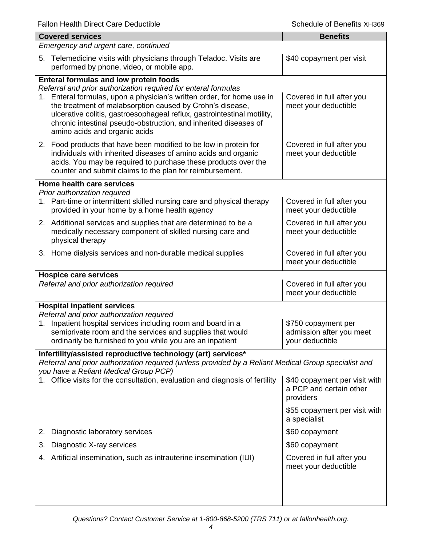|                                                                                                                                                                                                                                                                                                                        | <b>Covered services</b>                                                                                                                                                                                                                                                                                                                                                                                                             | <b>Benefits</b>                                                       |  |
|------------------------------------------------------------------------------------------------------------------------------------------------------------------------------------------------------------------------------------------------------------------------------------------------------------------------|-------------------------------------------------------------------------------------------------------------------------------------------------------------------------------------------------------------------------------------------------------------------------------------------------------------------------------------------------------------------------------------------------------------------------------------|-----------------------------------------------------------------------|--|
| Emergency and urgent care, continued                                                                                                                                                                                                                                                                                   |                                                                                                                                                                                                                                                                                                                                                                                                                                     |                                                                       |  |
|                                                                                                                                                                                                                                                                                                                        | 5. Telemedicine visits with physicians through Teladoc. Visits are<br>performed by phone, video, or mobile app.                                                                                                                                                                                                                                                                                                                     | \$40 copayment per visit                                              |  |
| 1.                                                                                                                                                                                                                                                                                                                     | <b>Enteral formulas and low protein foods</b><br>Referral and prior authorization required for enteral formulas<br>Enteral formulas, upon a physician's written order, for home use in<br>the treatment of malabsorption caused by Crohn's disease,<br>ulcerative colitis, gastroesophageal reflux, gastrointestinal motility,<br>chronic intestinal pseudo-obstruction, and inherited diseases of<br>amino acids and organic acids | Covered in full after you<br>meet your deductible                     |  |
|                                                                                                                                                                                                                                                                                                                        | 2. Food products that have been modified to be low in protein for<br>individuals with inherited diseases of amino acids and organic<br>acids. You may be required to purchase these products over the<br>counter and submit claims to the plan for reimbursement.                                                                                                                                                                   | Covered in full after you<br>meet your deductible                     |  |
|                                                                                                                                                                                                                                                                                                                        | Home health care services                                                                                                                                                                                                                                                                                                                                                                                                           |                                                                       |  |
|                                                                                                                                                                                                                                                                                                                        | Prior authorization required<br>1. Part-time or intermittent skilled nursing care and physical therapy<br>provided in your home by a home health agency                                                                                                                                                                                                                                                                             | Covered in full after you<br>meet your deductible                     |  |
|                                                                                                                                                                                                                                                                                                                        | 2. Additional services and supplies that are determined to be a<br>medically necessary component of skilled nursing care and<br>physical therapy                                                                                                                                                                                                                                                                                    | Covered in full after you<br>meet your deductible                     |  |
|                                                                                                                                                                                                                                                                                                                        | 3. Home dialysis services and non-durable medical supplies                                                                                                                                                                                                                                                                                                                                                                          | Covered in full after you<br>meet your deductible                     |  |
|                                                                                                                                                                                                                                                                                                                        | <b>Hospice care services</b><br>Referral and prior authorization required                                                                                                                                                                                                                                                                                                                                                           | Covered in full after you<br>meet your deductible                     |  |
| <b>Hospital inpatient services</b><br>Referral and prior authorization required<br>Inpatient hospital services including room and board in a<br>\$750 copayment per<br>1.<br>semiprivate room and the services and supplies that would<br>ordinarily be furnished to you while you are an inpatient<br>your deductible |                                                                                                                                                                                                                                                                                                                                                                                                                                     | admission after you meet                                              |  |
|                                                                                                                                                                                                                                                                                                                        | Infertility/assisted reproductive technology (art) services*                                                                                                                                                                                                                                                                                                                                                                        |                                                                       |  |
|                                                                                                                                                                                                                                                                                                                        | Referral and prior authorization required (unless provided by a Reliant Medical Group specialist and<br>you have a Reliant Medical Group PCP)<br>Office visits for the consultation, evaluation and diagnosis of fertility                                                                                                                                                                                                          | \$40 copayment per visit with<br>a PCP and certain other<br>providers |  |
|                                                                                                                                                                                                                                                                                                                        |                                                                                                                                                                                                                                                                                                                                                                                                                                     | \$55 copayment per visit with<br>a specialist                         |  |
| 2.                                                                                                                                                                                                                                                                                                                     | Diagnostic laboratory services                                                                                                                                                                                                                                                                                                                                                                                                      | \$60 copayment                                                        |  |
| 3.                                                                                                                                                                                                                                                                                                                     | Diagnostic X-ray services                                                                                                                                                                                                                                                                                                                                                                                                           | \$60 copayment                                                        |  |
|                                                                                                                                                                                                                                                                                                                        | 4. Artificial insemination, such as intrauterine insemination (IUI)                                                                                                                                                                                                                                                                                                                                                                 | Covered in full after you<br>meet your deductible                     |  |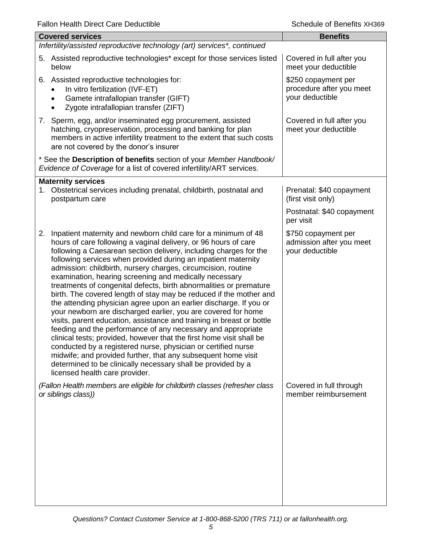| i alion i icaith Dircct Oarc Dcuactible                                                                                                                                                                                                                                                                                                                                                                                                                                                                                                                                                                                                                                                                                                                                                                                                                                                                                                                                                                                                                                                                                                           | פטטרוא פאוטווסט וס טווטסט                                          |  |  |
|---------------------------------------------------------------------------------------------------------------------------------------------------------------------------------------------------------------------------------------------------------------------------------------------------------------------------------------------------------------------------------------------------------------------------------------------------------------------------------------------------------------------------------------------------------------------------------------------------------------------------------------------------------------------------------------------------------------------------------------------------------------------------------------------------------------------------------------------------------------------------------------------------------------------------------------------------------------------------------------------------------------------------------------------------------------------------------------------------------------------------------------------------|--------------------------------------------------------------------|--|--|
| <b>Covered services</b>                                                                                                                                                                                                                                                                                                                                                                                                                                                                                                                                                                                                                                                                                                                                                                                                                                                                                                                                                                                                                                                                                                                           | <b>Benefits</b>                                                    |  |  |
| Infertility/assisted reproductive technology (art) services*, continued                                                                                                                                                                                                                                                                                                                                                                                                                                                                                                                                                                                                                                                                                                                                                                                                                                                                                                                                                                                                                                                                           |                                                                    |  |  |
| 5. Assisted reproductive technologies* except for those services listed<br>below                                                                                                                                                                                                                                                                                                                                                                                                                                                                                                                                                                                                                                                                                                                                                                                                                                                                                                                                                                                                                                                                  | Covered in full after you<br>meet your deductible                  |  |  |
| 6. Assisted reproductive technologies for:<br>In vitro fertilization (IVF-ET)<br>Gamete intrafallopian transfer (GIFT)<br>Zygote intrafallopian transfer (ZIFT)                                                                                                                                                                                                                                                                                                                                                                                                                                                                                                                                                                                                                                                                                                                                                                                                                                                                                                                                                                                   | \$250 copayment per<br>procedure after you meet<br>your deductible |  |  |
| 7. Sperm, egg, and/or inseminated egg procurement, assisted<br>hatching, cryopreservation, processing and banking for plan<br>members in active infertility treatment to the extent that such costs<br>are not covered by the donor's insurer                                                                                                                                                                                                                                                                                                                                                                                                                                                                                                                                                                                                                                                                                                                                                                                                                                                                                                     | Covered in full after you<br>meet your deductible                  |  |  |
| * See the Description of benefits section of your Member Handbook/<br>Evidence of Coverage for a list of covered infertility/ART services.                                                                                                                                                                                                                                                                                                                                                                                                                                                                                                                                                                                                                                                                                                                                                                                                                                                                                                                                                                                                        |                                                                    |  |  |
| <b>Maternity services</b><br>1. Obstetrical services including prenatal, childbirth, postnatal and<br>postpartum care                                                                                                                                                                                                                                                                                                                                                                                                                                                                                                                                                                                                                                                                                                                                                                                                                                                                                                                                                                                                                             | Prenatal: \$40 copayment<br>(first visit only)                     |  |  |
|                                                                                                                                                                                                                                                                                                                                                                                                                                                                                                                                                                                                                                                                                                                                                                                                                                                                                                                                                                                                                                                                                                                                                   | Postnatal: \$40 copayment<br>per visit                             |  |  |
| Inpatient maternity and newborn child care for a minimum of 48<br>2.<br>hours of care following a vaginal delivery, or 96 hours of care<br>following a Caesarean section delivery, including charges for the<br>following services when provided during an inpatient maternity<br>admission: childbirth, nursery charges, circumcision, routine<br>examination, hearing screening and medically necessary<br>treatments of congenital defects, birth abnormalities or premature<br>birth. The covered length of stay may be reduced if the mother and<br>the attending physician agree upon an earlier discharge. If you or<br>your newborn are discharged earlier, you are covered for home<br>visits, parent education, assistance and training in breast or bottle<br>feeding and the performance of any necessary and appropriate<br>clinical tests; provided, however that the first home visit shall be<br>conducted by a registered nurse, physician or certified nurse<br>midwife; and provided further, that any subsequent home visit<br>determined to be clinically necessary shall be provided by a<br>licensed health care provider. | \$750 copayment per<br>admission after you meet<br>your deductible |  |  |
| (Fallon Health members are eligible for childbirth classes (refresher class<br>or siblings class))                                                                                                                                                                                                                                                                                                                                                                                                                                                                                                                                                                                                                                                                                                                                                                                                                                                                                                                                                                                                                                                | Covered in full through<br>member reimbursement                    |  |  |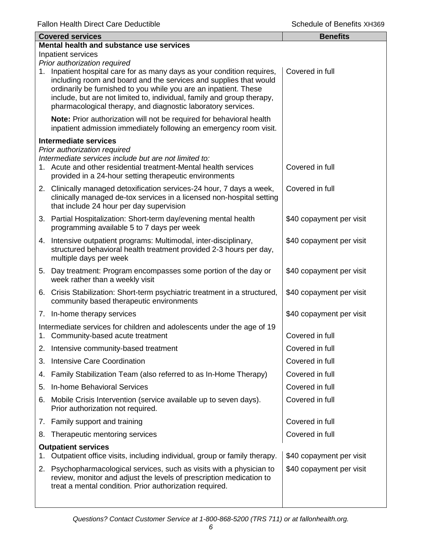|    | <b>Covered services</b>                                                                                                                                                                                                                                                                                                                                    | <b>Benefits</b>          |
|----|------------------------------------------------------------------------------------------------------------------------------------------------------------------------------------------------------------------------------------------------------------------------------------------------------------------------------------------------------------|--------------------------|
|    | Mental health and substance use services                                                                                                                                                                                                                                                                                                                   |                          |
|    | Inpatient services<br>Prior authorization required                                                                                                                                                                                                                                                                                                         |                          |
|    | 1. Inpatient hospital care for as many days as your condition requires,<br>including room and board and the services and supplies that would<br>ordinarily be furnished to you while you are an inpatient. These<br>include, but are not limited to, individual, family and group therapy,<br>pharmacological therapy, and diagnostic laboratory services. | Covered in full          |
|    | Note: Prior authorization will not be required for behavioral health<br>inpatient admission immediately following an emergency room visit.                                                                                                                                                                                                                 |                          |
|    | <b>Intermediate services</b>                                                                                                                                                                                                                                                                                                                               |                          |
|    | Prior authorization required<br>Intermediate services include but are not limited to:<br>1. Acute and other residential treatment-Mental health services<br>provided in a 24-hour setting therapeutic environments                                                                                                                                         | Covered in full          |
|    | 2. Clinically managed detoxification services-24 hour, 7 days a week,<br>clinically managed de-tox services in a licensed non-hospital setting<br>that include 24 hour per day supervision                                                                                                                                                                 | Covered in full          |
|    | 3. Partial Hospitalization: Short-term day/evening mental health<br>programming available 5 to 7 days per week                                                                                                                                                                                                                                             | \$40 copayment per visit |
|    | 4. Intensive outpatient programs: Multimodal, inter-disciplinary,<br>structured behavioral health treatment provided 2-3 hours per day,<br>multiple days per week                                                                                                                                                                                          | \$40 copayment per visit |
|    | 5. Day treatment: Program encompasses some portion of the day or<br>week rather than a weekly visit                                                                                                                                                                                                                                                        | \$40 copayment per visit |
|    | 6. Crisis Stabilization: Short-term psychiatric treatment in a structured,<br>community based therapeutic environments                                                                                                                                                                                                                                     | \$40 copayment per visit |
|    | 7. In-home therapy services                                                                                                                                                                                                                                                                                                                                | \$40 copayment per visit |
|    | Intermediate services for children and adolescents under the age of 19<br>1. Community-based acute treatment                                                                                                                                                                                                                                               | Covered in full          |
| 2. | Intensive community-based treatment                                                                                                                                                                                                                                                                                                                        | Covered in full          |
| 3. | Intensive Care Coordination                                                                                                                                                                                                                                                                                                                                | Covered in full          |
| 4. | Family Stabilization Team (also referred to as In-Home Therapy)                                                                                                                                                                                                                                                                                            | Covered in full          |
| 5. | In-home Behavioral Services                                                                                                                                                                                                                                                                                                                                | Covered in full          |
| 6. | Mobile Crisis Intervention (service available up to seven days).<br>Prior authorization not required.                                                                                                                                                                                                                                                      | Covered in full          |
|    | 7. Family support and training                                                                                                                                                                                                                                                                                                                             | Covered in full          |
| 8. | Therapeutic mentoring services                                                                                                                                                                                                                                                                                                                             | Covered in full          |
| 1. | <b>Outpatient services</b><br>Outpatient office visits, including individual, group or family therapy.                                                                                                                                                                                                                                                     | \$40 copayment per visit |
| 2. | Psychopharmacological services, such as visits with a physician to<br>review, monitor and adjust the levels of prescription medication to<br>treat a mental condition. Prior authorization required.                                                                                                                                                       | \$40 copayment per visit |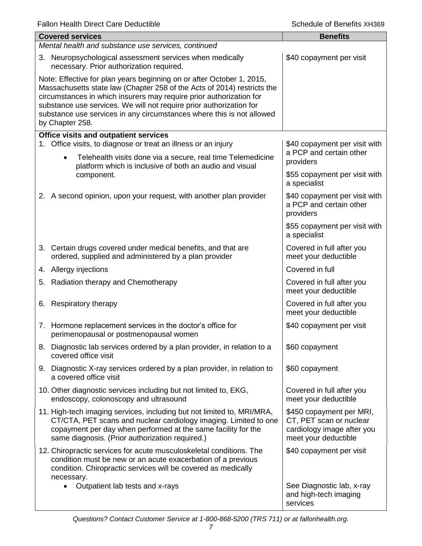|                                                                                                                                                                                                                                                                                                                                                                                            | <b>Covered services</b>                                                                                                                                                                                                                                        | <b>Benefits</b>                                                                                           |  |  |
|--------------------------------------------------------------------------------------------------------------------------------------------------------------------------------------------------------------------------------------------------------------------------------------------------------------------------------------------------------------------------------------------|----------------------------------------------------------------------------------------------------------------------------------------------------------------------------------------------------------------------------------------------------------------|-----------------------------------------------------------------------------------------------------------|--|--|
|                                                                                                                                                                                                                                                                                                                                                                                            | Mental health and substance use services, continued                                                                                                                                                                                                            |                                                                                                           |  |  |
|                                                                                                                                                                                                                                                                                                                                                                                            | 3. Neuropsychological assessment services when medically<br>necessary. Prior authorization required.                                                                                                                                                           | \$40 copayment per visit                                                                                  |  |  |
| Note: Effective for plan years beginning on or after October 1, 2015,<br>Massachusetts state law (Chapter 258 of the Acts of 2014) restricts the<br>circumstances in which insurers may require prior authorization for<br>substance use services. We will not require prior authorization for<br>substance use services in any circumstances where this is not allowed<br>by Chapter 258. |                                                                                                                                                                                                                                                                |                                                                                                           |  |  |
|                                                                                                                                                                                                                                                                                                                                                                                            | Office visits and outpatient services                                                                                                                                                                                                                          |                                                                                                           |  |  |
| 1.                                                                                                                                                                                                                                                                                                                                                                                         | Office visits, to diagnose or treat an illness or an injury<br>Telehealth visits done via a secure, real time Telemedicine<br>$\bullet$                                                                                                                        | \$40 copayment per visit with<br>a PCP and certain other<br>providers                                     |  |  |
|                                                                                                                                                                                                                                                                                                                                                                                            | platform which is inclusive of both an audio and visual<br>component.                                                                                                                                                                                          | \$55 copayment per visit with<br>a specialist                                                             |  |  |
|                                                                                                                                                                                                                                                                                                                                                                                            | 2. A second opinion, upon your request, with another plan provider                                                                                                                                                                                             | \$40 copayment per visit with<br>a PCP and certain other<br>providers                                     |  |  |
|                                                                                                                                                                                                                                                                                                                                                                                            |                                                                                                                                                                                                                                                                | \$55 copayment per visit with<br>a specialist                                                             |  |  |
|                                                                                                                                                                                                                                                                                                                                                                                            | 3. Certain drugs covered under medical benefits, and that are<br>ordered, supplied and administered by a plan provider                                                                                                                                         | Covered in full after you<br>meet your deductible                                                         |  |  |
|                                                                                                                                                                                                                                                                                                                                                                                            | 4. Allergy injections                                                                                                                                                                                                                                          | Covered in full                                                                                           |  |  |
|                                                                                                                                                                                                                                                                                                                                                                                            | 5. Radiation therapy and Chemotherapy                                                                                                                                                                                                                          | Covered in full after you<br>meet your deductible                                                         |  |  |
|                                                                                                                                                                                                                                                                                                                                                                                            | 6. Respiratory therapy                                                                                                                                                                                                                                         | Covered in full after you<br>meet your deductible                                                         |  |  |
|                                                                                                                                                                                                                                                                                                                                                                                            | 7. Hormone replacement services in the doctor's office for<br>perimenopausal or postmenopausal women                                                                                                                                                           | \$40 copayment per visit                                                                                  |  |  |
|                                                                                                                                                                                                                                                                                                                                                                                            | 8. Diagnostic lab services ordered by a plan provider, in relation to a<br>covered office visit                                                                                                                                                                | \$60 copayment                                                                                            |  |  |
|                                                                                                                                                                                                                                                                                                                                                                                            | 9. Diagnostic X-ray services ordered by a plan provider, in relation to<br>a covered office visit                                                                                                                                                              | \$60 copayment                                                                                            |  |  |
|                                                                                                                                                                                                                                                                                                                                                                                            | 10. Other diagnostic services including but not limited to, EKG,<br>endoscopy, colonoscopy and ultrasound                                                                                                                                                      | Covered in full after you<br>meet your deductible                                                         |  |  |
|                                                                                                                                                                                                                                                                                                                                                                                            | 11. High-tech imaging services, including but not limited to, MRI/MRA,<br>CT/CTA, PET scans and nuclear cardiology imaging. Limited to one<br>copayment per day when performed at the same facility for the<br>same diagnosis. (Prior authorization required.) | \$450 copayment per MRI,<br>CT, PET scan or nuclear<br>cardiology image after you<br>meet your deductible |  |  |
|                                                                                                                                                                                                                                                                                                                                                                                            | 12. Chiropractic services for acute musculoskeletal conditions. The<br>condition must be new or an acute exacerbation of a previous<br>condition. Chiropractic services will be covered as medically                                                           | \$40 copayment per visit                                                                                  |  |  |
|                                                                                                                                                                                                                                                                                                                                                                                            | necessary.<br>Outpatient lab tests and x-rays                                                                                                                                                                                                                  | See Diagnostic lab, x-ray<br>and high-tech imaging<br>services                                            |  |  |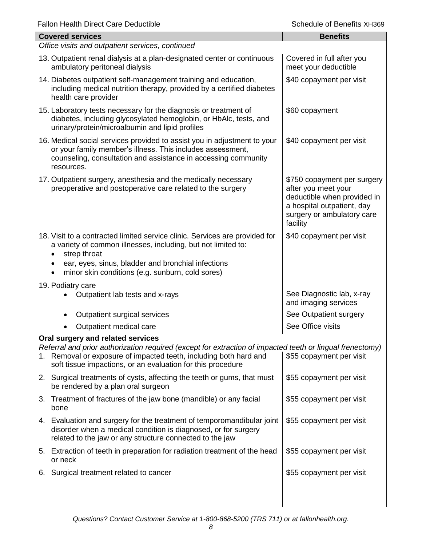| allott Fically Direct Oale Deugelible<br>כטטו וג כווטווטוב וט טווטט                                                                                                                                                                                                                |                                                                                                                                                           |  |  |
|------------------------------------------------------------------------------------------------------------------------------------------------------------------------------------------------------------------------------------------------------------------------------------|-----------------------------------------------------------------------------------------------------------------------------------------------------------|--|--|
| <b>Covered services</b>                                                                                                                                                                                                                                                            | <b>Benefits</b>                                                                                                                                           |  |  |
| Office visits and outpatient services, continued                                                                                                                                                                                                                                   |                                                                                                                                                           |  |  |
| 13. Outpatient renal dialysis at a plan-designated center or continuous<br>ambulatory peritoneal dialysis                                                                                                                                                                          | Covered in full after you<br>meet your deductible                                                                                                         |  |  |
| 14. Diabetes outpatient self-management training and education,<br>including medical nutrition therapy, provided by a certified diabetes<br>health care provider                                                                                                                   | \$40 copayment per visit                                                                                                                                  |  |  |
| 15. Laboratory tests necessary for the diagnosis or treatment of<br>diabetes, including glycosylated hemoglobin, or HbAlc, tests, and<br>urinary/protein/microalbumin and lipid profiles                                                                                           | \$60 copayment                                                                                                                                            |  |  |
| 16. Medical social services provided to assist you in adjustment to your<br>or your family member's illness. This includes assessment,<br>counseling, consultation and assistance in accessing community<br>resources.                                                             | \$40 copayment per visit                                                                                                                                  |  |  |
| 17. Outpatient surgery, anesthesia and the medically necessary<br>preoperative and postoperative care related to the surgery                                                                                                                                                       | \$750 copayment per surgery<br>after you meet your<br>deductible when provided in<br>a hospital outpatient, day<br>surgery or ambulatory care<br>facility |  |  |
| 18. Visit to a contracted limited service clinic. Services are provided for<br>a variety of common illnesses, including, but not limited to:<br>strep throat<br>ear, eyes, sinus, bladder and bronchial infections<br>minor skin conditions (e.g. sunburn, cold sores)             | \$40 copayment per visit                                                                                                                                  |  |  |
| 19. Podiatry care                                                                                                                                                                                                                                                                  |                                                                                                                                                           |  |  |
| Outpatient lab tests and x-rays                                                                                                                                                                                                                                                    | See Diagnostic lab, x-ray<br>and imaging services                                                                                                         |  |  |
| Outpatient surgical services                                                                                                                                                                                                                                                       | See Outpatient surgery                                                                                                                                    |  |  |
| Outpatient medical care                                                                                                                                                                                                                                                            | See Office visits                                                                                                                                         |  |  |
| Oral surgery and related services<br>Referral and prior authorization required (except for extraction of impacted teeth or lingual frenectomy)<br>1. Removal or exposure of impacted teeth, including both hard and<br>soft tissue impactions, or an evaluation for this procedure | \$55 copayment per visit                                                                                                                                  |  |  |
| 2. Surgical treatments of cysts, affecting the teeth or gums, that must<br>be rendered by a plan oral surgeon                                                                                                                                                                      | \$55 copayment per visit                                                                                                                                  |  |  |
| Treatment of fractures of the jaw bone (mandible) or any facial<br>3.<br>bone                                                                                                                                                                                                      | \$55 copayment per visit                                                                                                                                  |  |  |
| 4. Evaluation and surgery for the treatment of temporomandibular joint<br>disorder when a medical condition is diagnosed, or for surgery<br>related to the jaw or any structure connected to the jaw                                                                               | \$55 copayment per visit                                                                                                                                  |  |  |
| 5. Extraction of teeth in preparation for radiation treatment of the head<br>or neck                                                                                                                                                                                               | \$55 copayment per visit                                                                                                                                  |  |  |
| 6. Surgical treatment related to cancer                                                                                                                                                                                                                                            | \$55 copayment per visit                                                                                                                                  |  |  |
|                                                                                                                                                                                                                                                                                    |                                                                                                                                                           |  |  |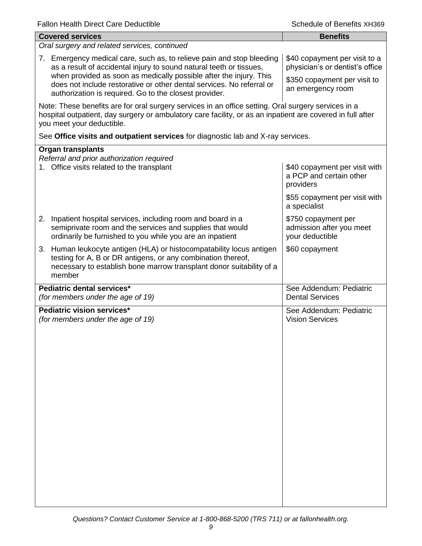| <b>Covered services</b>                                                                                                                                                                                                                        | <b>Benefits</b>                                                       |  |  |
|------------------------------------------------------------------------------------------------------------------------------------------------------------------------------------------------------------------------------------------------|-----------------------------------------------------------------------|--|--|
| Oral surgery and related services, continued                                                                                                                                                                                                   |                                                                       |  |  |
| 7. Emergency medical care, such as, to relieve pain and stop bleeding<br>as a result of accidental injury to sound natural teeth or tissues,<br>when provided as soon as medically possible after the injury. This                             | \$40 copayment per visit to a<br>physician's or dentist's office      |  |  |
| does not include restorative or other dental services. No referral or<br>authorization is required. Go to the closest provider.                                                                                                                | \$350 copayment per visit to<br>an emergency room                     |  |  |
| Note: These benefits are for oral surgery services in an office setting. Oral surgery services in a<br>hospital outpatient, day surgery or ambulatory care facility, or as an inpatient are covered in full after<br>you meet your deductible. |                                                                       |  |  |
| See Office visits and outpatient services for diagnostic lab and X-ray services.                                                                                                                                                               |                                                                       |  |  |
| <b>Organ transplants</b><br>Referral and prior authorization required<br>1. Office visits related to the transplant                                                                                                                            | \$40 copayment per visit with<br>a PCP and certain other<br>providers |  |  |
|                                                                                                                                                                                                                                                | \$55 copayment per visit with<br>a specialist                         |  |  |
| 2. Inpatient hospital services, including room and board in a<br>semiprivate room and the services and supplies that would<br>ordinarily be furnished to you while you are an inpatient                                                        | \$750 copayment per<br>admission after you meet<br>your deductible    |  |  |
| 3. Human leukocyte antigen (HLA) or histocompatability locus antigen<br>testing for A, B or DR antigens, or any combination thereof,<br>necessary to establish bone marrow transplant donor suitability of a<br>member                         | \$60 copayment                                                        |  |  |
| Pediatric dental services*<br>(for members under the age of 19)                                                                                                                                                                                | See Addendum: Pediatric<br><b>Dental Services</b>                     |  |  |
| Pediatric vision services*<br>(for members under the age of 19)                                                                                                                                                                                | See Addendum: Pediatric<br><b>Vision Services</b>                     |  |  |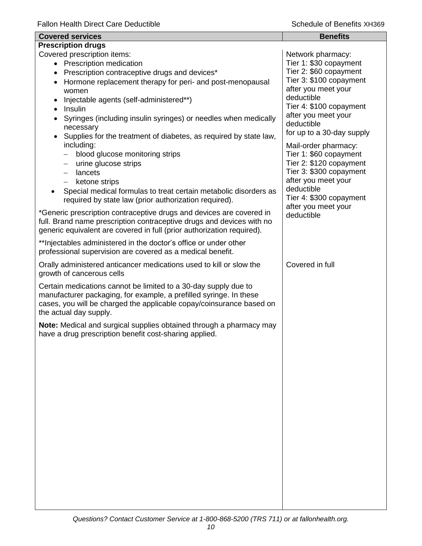| <b>Covered services</b>                                                                                                                                                                                                                 | <b>Benefits</b>                                |
|-----------------------------------------------------------------------------------------------------------------------------------------------------------------------------------------------------------------------------------------|------------------------------------------------|
| <b>Prescription drugs</b>                                                                                                                                                                                                               |                                                |
| Covered prescription items:<br>• Prescription medication                                                                                                                                                                                | Network pharmacy:<br>Tier 1: \$30 copayment    |
| Prescription contraceptive drugs and devices*                                                                                                                                                                                           | Tier 2: \$60 copayment                         |
| Hormone replacement therapy for peri- and post-menopausal<br>٠                                                                                                                                                                          | Tier 3: \$100 copayment                        |
| women                                                                                                                                                                                                                                   | after you meet your                            |
| Injectable agents (self-administered**)                                                                                                                                                                                                 | deductible                                     |
| Insulin<br>$\bullet$                                                                                                                                                                                                                    | Tier 4: \$100 copayment                        |
| Syringes (including insulin syringes) or needles when medically<br>necessary                                                                                                                                                            | after you meet your<br>deductible              |
| Supplies for the treatment of diabetes, as required by state law,<br>including:                                                                                                                                                         | for up to a 30-day supply                      |
| blood glucose monitoring strips<br>$\qquad \qquad -$                                                                                                                                                                                    | Mail-order pharmacy:<br>Tier 1: \$60 copayment |
| urine glucose strips<br>$\qquad \qquad -$                                                                                                                                                                                               | Tier 2: \$120 copayment                        |
| lancets<br>$\qquad \qquad -$                                                                                                                                                                                                            | Tier 3: \$300 copayment                        |
| ketone strips<br>$\overline{\phantom{0}}$                                                                                                                                                                                               | after you meet your                            |
| Special medical formulas to treat certain metabolic disorders as<br>required by state law (prior authorization required).                                                                                                               | deductible<br>Tier 4: \$300 copayment          |
| *Generic prescription contraceptive drugs and devices are covered in<br>full. Brand name prescription contraceptive drugs and devices with no<br>generic equivalent are covered in full (prior authorization required).                 | after you meet your<br>deductible              |
| ** Injectables administered in the doctor's office or under other<br>professional supervision are covered as a medical benefit.                                                                                                         |                                                |
| Orally administered anticancer medications used to kill or slow the<br>growth of cancerous cells                                                                                                                                        | Covered in full                                |
| Certain medications cannot be limited to a 30-day supply due to<br>manufacturer packaging, for example, a prefilled syringe. In these<br>cases, you will be charged the applicable copay/coinsurance based on<br>the actual day supply. |                                                |
| Note: Medical and surgical supplies obtained through a pharmacy may<br>have a drug prescription benefit cost-sharing applied.                                                                                                           |                                                |
|                                                                                                                                                                                                                                         |                                                |
|                                                                                                                                                                                                                                         |                                                |
|                                                                                                                                                                                                                                         |                                                |
|                                                                                                                                                                                                                                         |                                                |
|                                                                                                                                                                                                                                         |                                                |
|                                                                                                                                                                                                                                         |                                                |
|                                                                                                                                                                                                                                         |                                                |
|                                                                                                                                                                                                                                         |                                                |
|                                                                                                                                                                                                                                         |                                                |
|                                                                                                                                                                                                                                         |                                                |
|                                                                                                                                                                                                                                         |                                                |
|                                                                                                                                                                                                                                         |                                                |
|                                                                                                                                                                                                                                         |                                                |
|                                                                                                                                                                                                                                         |                                                |
|                                                                                                                                                                                                                                         |                                                |
|                                                                                                                                                                                                                                         |                                                |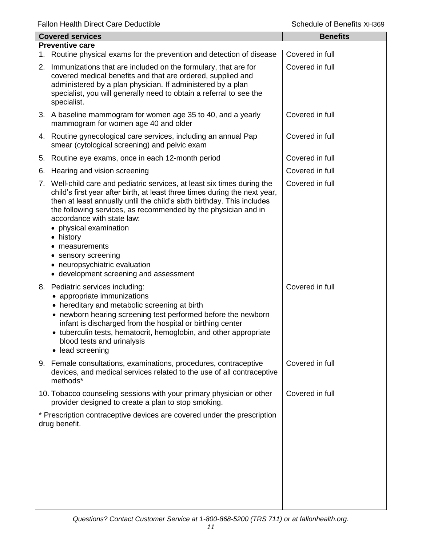| <b>Covered services</b> |                                                                                                                                                                                                                                                                                                                                                                                                                                                                                           | <b>Benefits</b> |
|-------------------------|-------------------------------------------------------------------------------------------------------------------------------------------------------------------------------------------------------------------------------------------------------------------------------------------------------------------------------------------------------------------------------------------------------------------------------------------------------------------------------------------|-----------------|
|                         | <b>Preventive care</b>                                                                                                                                                                                                                                                                                                                                                                                                                                                                    |                 |
|                         | 1. Routine physical exams for the prevention and detection of disease                                                                                                                                                                                                                                                                                                                                                                                                                     | Covered in full |
|                         | 2. Immunizations that are included on the formulary, that are for<br>covered medical benefits and that are ordered, supplied and<br>administered by a plan physician. If administered by a plan<br>specialist, you will generally need to obtain a referral to see the<br>specialist.                                                                                                                                                                                                     | Covered in full |
|                         | 3. A baseline mammogram for women age 35 to 40, and a yearly<br>mammogram for women age 40 and older                                                                                                                                                                                                                                                                                                                                                                                      | Covered in full |
|                         | 4. Routine gynecological care services, including an annual Pap<br>smear (cytological screening) and pelvic exam                                                                                                                                                                                                                                                                                                                                                                          | Covered in full |
| 5.                      | Routine eye exams, once in each 12-month period                                                                                                                                                                                                                                                                                                                                                                                                                                           | Covered in full |
| 6.                      | Hearing and vision screening                                                                                                                                                                                                                                                                                                                                                                                                                                                              | Covered in full |
|                         | 7. Well-child care and pediatric services, at least six times during the<br>child's first year after birth, at least three times during the next year,<br>then at least annually until the child's sixth birthday. This includes<br>the following services, as recommended by the physician and in<br>accordance with state law:<br>• physical examination<br>• history<br>measurements<br>• sensory screening<br>• neuropsychiatric evaluation<br>• development screening and assessment | Covered in full |
|                         | 8. Pediatric services including:<br>• appropriate immunizations<br>• hereditary and metabolic screening at birth<br>• newborn hearing screening test performed before the newborn<br>infant is discharged from the hospital or birthing center<br>• tuberculin tests, hematocrit, hemoglobin, and other appropriate<br>blood tests and urinalysis<br>• lead screening                                                                                                                     | Covered in full |
|                         | 9. Female consultations, examinations, procedures, contraceptive<br>devices, and medical services related to the use of all contraceptive<br>methods*                                                                                                                                                                                                                                                                                                                                     | Covered in full |
|                         | 10. Tobacco counseling sessions with your primary physician or other<br>provider designed to create a plan to stop smoking.                                                                                                                                                                                                                                                                                                                                                               | Covered in full |
|                         | * Prescription contraceptive devices are covered under the prescription<br>drug benefit.                                                                                                                                                                                                                                                                                                                                                                                                  |                 |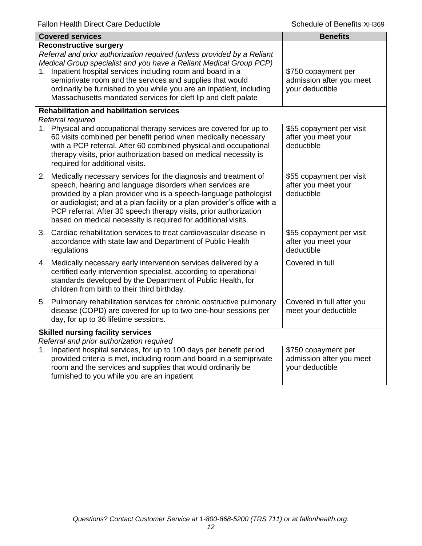|                                          | <b>Covered services</b>                                                                                                                                                                                                                                                                                                                                                                                                                            | <b>Benefits</b>                                                    |
|------------------------------------------|----------------------------------------------------------------------------------------------------------------------------------------------------------------------------------------------------------------------------------------------------------------------------------------------------------------------------------------------------------------------------------------------------------------------------------------------------|--------------------------------------------------------------------|
| 1.                                       | <b>Reconstructive surgery</b><br>Referral and prior authorization required (unless provided by a Reliant<br>Medical Group specialist and you have a Reliant Medical Group PCP)<br>Inpatient hospital services including room and board in a<br>semiprivate room and the services and supplies that would<br>ordinarily be furnished to you while you are an inpatient, including<br>Massachusetts mandated services for cleft lip and cleft palate | \$750 copayment per<br>admission after you meet<br>your deductible |
|                                          | <b>Rehabilitation and habilitation services</b><br>Referral required                                                                                                                                                                                                                                                                                                                                                                               |                                                                    |
|                                          | 1. Physical and occupational therapy services are covered for up to<br>60 visits combined per benefit period when medically necessary<br>with a PCP referral. After 60 combined physical and occupational<br>therapy visits, prior authorization based on medical necessity is<br>required for additional visits.                                                                                                                                  | \$55 copayment per visit<br>after you meet your<br>deductible      |
|                                          | 2. Medically necessary services for the diagnosis and treatment of<br>speech, hearing and language disorders when services are<br>provided by a plan provider who is a speech-language pathologist<br>or audiologist; and at a plan facility or a plan provider's office with a<br>PCP referral. After 30 speech therapy visits, prior authorization<br>based on medical necessity is required for additional visits.                              | \$55 copayment per visit<br>after you meet your<br>deductible      |
|                                          | 3. Cardiac rehabilitation services to treat cardiovascular disease in<br>accordance with state law and Department of Public Health<br>regulations                                                                                                                                                                                                                                                                                                  | \$55 copayment per visit<br>after you meet your<br>deductible      |
|                                          | 4. Medically necessary early intervention services delivered by a<br>certified early intervention specialist, according to operational<br>standards developed by the Department of Public Health, for<br>children from birth to their third birthday.                                                                                                                                                                                              | Covered in full                                                    |
|                                          | 5. Pulmonary rehabilitation services for chronic obstructive pulmonary<br>disease (COPD) are covered for up to two one-hour sessions per<br>day, for up to 36 lifetime sessions.                                                                                                                                                                                                                                                                   | Covered in full after you<br>meet your deductible                  |
| <b>Skilled nursing facility services</b> |                                                                                                                                                                                                                                                                                                                                                                                                                                                    |                                                                    |
| 1.                                       | Referral and prior authorization required<br>Inpatient hospital services, for up to 100 days per benefit period<br>provided criteria is met, including room and board in a semiprivate<br>room and the services and supplies that would ordinarily be<br>furnished to you while you are an inpatient                                                                                                                                               | \$750 copayment per<br>admission after you meet<br>your deductible |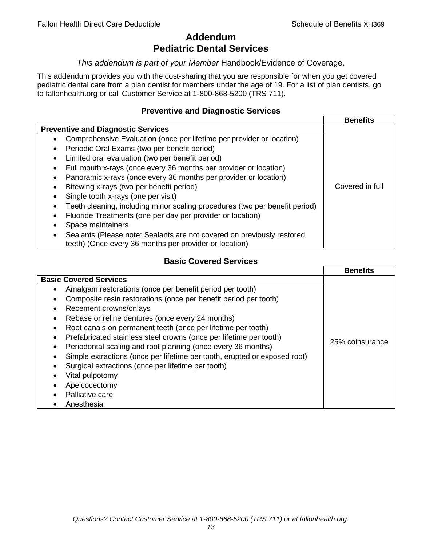# **Addendum Pediatric Dental Services**

## *This addendum is part of your Member* Handbook/Evidence of Coverage.

This addendum provides you with the cost-sharing that you are responsible for when you get covered pediatric dental care from a plan dentist for members under the age of 19. For a list of plan dentists, go to fallonhealth.org or call Customer Service at 1-800-868-5200 (TRS 711).

# **Preventive and Diagnostic Services**

|                                                                             | <b>Benefits</b> |
|-----------------------------------------------------------------------------|-----------------|
| <b>Preventive and Diagnostic Services</b>                                   |                 |
| Comprehensive Evaluation (once per lifetime per provider or location)<br>٠  |                 |
| Periodic Oral Exams (two per benefit period)<br>$\bullet$                   |                 |
| Limited oral evaluation (two per benefit period)<br>$\bullet$               |                 |
| Full mouth x-rays (once every 36 months per provider or location)<br>٠      |                 |
| Panoramic x-rays (once every 36 months per provider or location)            |                 |
| Bitewing x-rays (two per benefit period)<br>٠                               | Covered in full |
| Single tooth x-rays (one per visit)                                         |                 |
| Teeth cleaning, including minor scaling procedures (two per benefit period) |                 |
| Fluoride Treatments (one per day per provider or location)<br>٠             |                 |
| Space maintainers                                                           |                 |
| Sealants (Please note: Sealants are not covered on previously restored      |                 |
| teeth) (Once every 36 months per provider or location)                      |                 |

# **Basic Covered Services**

|                                                                                                                                                                                                                                                                                                                                                          | <b>Benefits</b> |
|----------------------------------------------------------------------------------------------------------------------------------------------------------------------------------------------------------------------------------------------------------------------------------------------------------------------------------------------------------|-----------------|
| <b>Basic Covered Services</b><br>Amalgam restorations (once per benefit period per tooth)<br>Composite resin restorations (once per benefit period per tooth)<br>Recement crowns/onlays<br>Rebase or reline dentures (once every 24 months)                                                                                                              |                 |
| Root canals on permanent teeth (once per lifetime per tooth)<br>Prefabricated stainless steel crowns (once per lifetime per tooth)<br>Periodontal scaling and root planning (once every 36 months)<br>Simple extractions (once per lifetime per tooth, erupted or exposed root)<br>Surgical extractions (once per lifetime per tooth)<br>Vital pulpotomy | 25% coinsurance |
| Apeicocectomy<br>Palliative care<br>Anesthesia                                                                                                                                                                                                                                                                                                           |                 |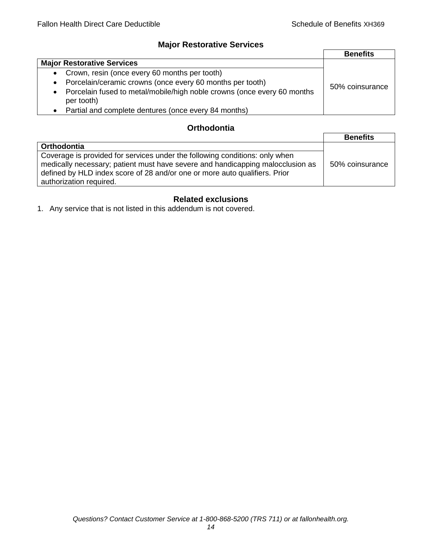# **Major Restorative Services**

|                                                                                            | <b>Benefits</b> |
|--------------------------------------------------------------------------------------------|-----------------|
| <b>Major Restorative Services</b>                                                          |                 |
| • Crown, resin (once every 60 months per tooth)                                            |                 |
| • Porcelain/ceramic crowns (once every 60 months per tooth)                                | 50% coinsurance |
| Porcelain fused to metal/mobile/high noble crowns (once every 60 months<br>٠<br>per tooth) |                 |
| • Partial and complete dentures (once every 84 months)                                     |                 |

# **Orthodontia**

|                                                                                                                                                                                                                                                                        | <b>Benefits</b> |
|------------------------------------------------------------------------------------------------------------------------------------------------------------------------------------------------------------------------------------------------------------------------|-----------------|
| Orthodontia                                                                                                                                                                                                                                                            |                 |
| Coverage is provided for services under the following conditions: only when<br>medically necessary; patient must have severe and handicapping malocclusion as<br>defined by HLD index score of 28 and/or one or more auto qualifiers. Prior<br>authorization required. | 50% coinsurance |

# **Related exclusions**

1. Any service that is not listed in this addendum is not covered.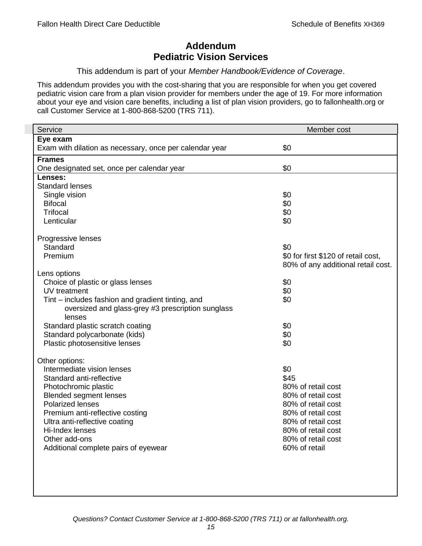# **Addendum Pediatric Vision Services**

## This addendum is part of your *Member Handbook/Evidence of Coverage*.

This addendum provides you with the cost-sharing that you are responsible for when you get covered pediatric vision care from a plan vision provider for members under the age of 19. For more information about your eye and vision care benefits, including a list of plan vision providers, go to fallonhealth.org or call Customer Service at 1-800-868-5200 (TRS 711).

| Service                                                 | Member cost                         |
|---------------------------------------------------------|-------------------------------------|
| Eye exam                                                |                                     |
| Exam with dilation as necessary, once per calendar year | \$0                                 |
| <b>Frames</b>                                           |                                     |
| One designated set, once per calendar year              | \$0                                 |
| Lenses:                                                 |                                     |
| <b>Standard lenses</b>                                  |                                     |
| Single vision                                           | \$0                                 |
| <b>Bifocal</b>                                          | \$0                                 |
| <b>Trifocal</b>                                         | \$0                                 |
| Lenticular                                              | \$0                                 |
| Progressive lenses                                      |                                     |
| Standard                                                | \$0                                 |
| Premium                                                 | \$0 for first \$120 of retail cost, |
|                                                         | 80% of any additional retail cost.  |
| Lens options                                            |                                     |
| Choice of plastic or glass lenses                       | \$0                                 |
| UV treatment                                            | \$0                                 |
| Tint – includes fashion and gradient tinting, and       | \$0                                 |
| oversized and glass-grey #3 prescription sunglass       |                                     |
| lenses                                                  |                                     |
| Standard plastic scratch coating                        | \$0                                 |
| Standard polycarbonate (kids)                           | \$0                                 |
| Plastic photosensitive lenses                           | \$0                                 |
| Other options:                                          |                                     |
| Intermediate vision lenses                              | \$0                                 |
| Standard anti-reflective                                | \$45                                |
| Photochromic plastic                                    | 80% of retail cost                  |
| <b>Blended segment lenses</b>                           | 80% of retail cost                  |
| <b>Polarized lenses</b>                                 | 80% of retail cost                  |
| Premium anti-reflective costing                         | 80% of retail cost                  |
| Ultra anti-reflective coating                           | 80% of retail cost                  |
| Hi-Index lenses                                         | 80% of retail cost                  |
| Other add-ons                                           | 80% of retail cost                  |
| Additional complete pairs of eyewear                    | 60% of retail                       |
|                                                         |                                     |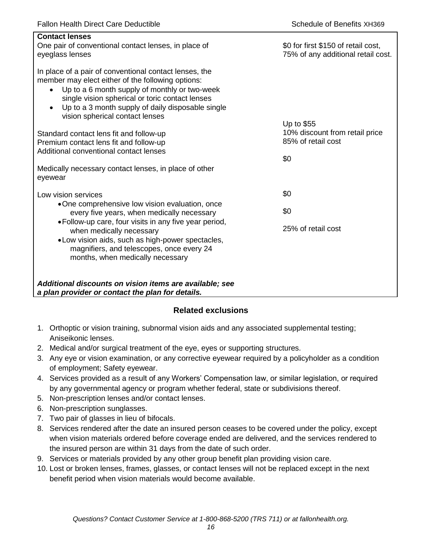| <b>Contact lenses</b><br>One pair of conventional contact lenses, in place of<br>eyeglass lenses                                                                                                                                                                                                                                  | \$0 for first \$150 of retail cost,<br>75% of any additional retail cost. |
|-----------------------------------------------------------------------------------------------------------------------------------------------------------------------------------------------------------------------------------------------------------------------------------------------------------------------------------|---------------------------------------------------------------------------|
| In place of a pair of conventional contact lenses, the<br>member may elect either of the following options:<br>Up to a 6 month supply of monthly or two-week<br>$\bullet$<br>single vision spherical or toric contact lenses<br>Up to a 3 month supply of daily disposable single<br>$\bullet$<br>vision spherical contact lenses |                                                                           |
| Standard contact lens fit and follow-up<br>Premium contact lens fit and follow-up<br>Additional conventional contact lenses                                                                                                                                                                                                       | Up to \$55<br>10% discount from retail price<br>85% of retail cost<br>\$0 |
| Medically necessary contact lenses, in place of other<br>eyewear                                                                                                                                                                                                                                                                  |                                                                           |
| Low vision services                                                                                                                                                                                                                                                                                                               | \$0                                                                       |
| •One comprehensive low vision evaluation, once<br>every five years, when medically necessary                                                                                                                                                                                                                                      | \$0                                                                       |
| • Follow-up care, four visits in any five year period,<br>when medically necessary<br>• Low vision aids, such as high-power spectacles,<br>magnifiers, and telescopes, once every 24<br>months, when medically necessary                                                                                                          | 25% of retail cost                                                        |
| Additional discounts on vision items are available; see<br>a plan provider or contact the plan for details.                                                                                                                                                                                                                       |                                                                           |

# **Related exclusions**

- 1. Orthoptic or vision training, subnormal vision aids and any associated supplemental testing; Aniseikonic lenses.
- 2. Medical and/or surgical treatment of the eye, eyes or supporting structures.
- 3. Any eye or vision examination, or any corrective eyewear required by a policyholder as a condition of employment; Safety eyewear.
- 4. Services provided as a result of any Workers' Compensation law, or similar legislation, or required by any governmental agency or program whether federal, state or subdivisions thereof.
- 5. Non-prescription lenses and/or contact lenses.
- 6. Non-prescription sunglasses.
- 7. Two pair of glasses in lieu of bifocals.
- 8. Services rendered after the date an insured person ceases to be covered under the policy, except when vision materials ordered before coverage ended are delivered, and the services rendered to the insured person are within 31 days from the date of such order.
- 9. Services or materials provided by any other group benefit plan providing vision care.
- 10. Lost or broken lenses, frames, glasses, or contact lenses will not be replaced except in the next benefit period when vision materials would become available.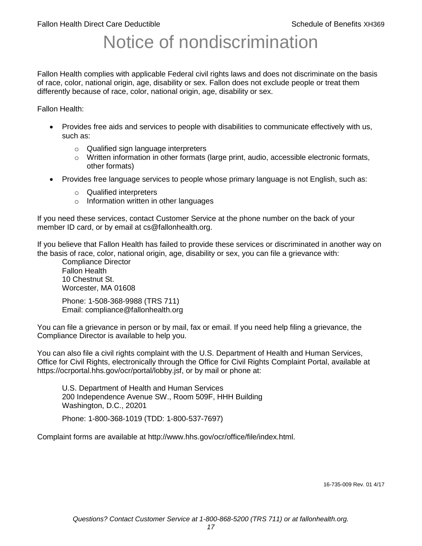# Notice of nondiscrimination

Fallon Health complies with applicable Federal civil rights laws and does not discriminate on the basis of race, color, national origin, age, disability or sex. Fallon does not exclude people or treat them differently because of race, color, national origin, age, disability or sex.

Fallon Health:

- Provides free aids and services to people with disabilities to communicate effectively with us, such as:
	- o Qualified sign language interpreters
	- $\circ$  Written information in other formats (large print, audio, accessible electronic formats, other formats)
- Provides free language services to people whose primary language is not English, such as:
	- o Qualified interpreters
	- o Information written in other languages

If you need these services, contact Customer Service at the phone number on the back of your member ID card, or by email at cs@fallonhealth.org.

If you believe that Fallon Health has failed to provide these services or discriminated in another way on the basis of race, color, national origin, age, disability or sex, you can file a grievance with:

Compliance Director Fallon Health 10 Chestnut St. Worcester, MA 01608

Phone: 1-508-368-9988 (TRS 711) Email: compliance@fallonhealth.org

You can file a grievance in person or by mail, fax or email. If you need help filing a grievance, the Compliance Director is available to help you.

You can also file a civil rights complaint with the U.S. Department of Health and Human Services, Office for Civil Rights, electronically through the Office for Civil Rights Complaint Portal, available at https://ocrportal.hhs.gov/ocr/portal/lobby.jsf, or by mail or phone at:

U.S. Department of Health and Human Services 200 Independence Avenue SW., Room 509F, HHH Building Washington, D.C., 20201

Phone: 1-800-368-1019 (TDD: 1-800-537-7697)

Complaint forms are available at http://www.hhs.gov/ocr/office/file/index.html.

16-735-009 Rev. 01 4/17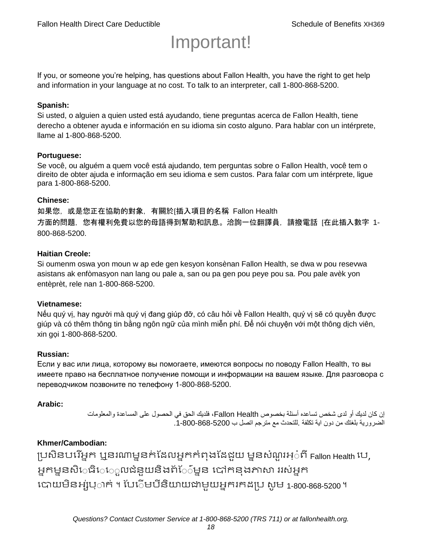# Important!

If you, or someone you're helping, has questions about Fallon Health, you have the right to get help and information in your language at no cost. To talk to an interpreter, call 1-800-868-5200.

#### **Spanish:**

Si usted, o alguien a quien usted está ayudando, tiene preguntas acerca de Fallon Health, tiene derecho a obtener ayuda e información en su idioma sin costo alguno. Para hablar con un intérprete, llame al 1-800-868-5200.

#### **Portuguese:**

Se você, ou alguém a quem você está ajudando, tem perguntas sobre o Fallon Health, você tem o direito de obter ajuda e informação em seu idioma e sem custos. Para falar com um intérprete, ligue para 1-800-868-5200.

#### **Chinese:**

如果您,或是您正在協助的對象,有關於[插入項目的名稱 Fallon Health 方面的問題, 您有權利免費以您的母語得到幫助和訊息。洽詢一位翻譯員, 請撥電話 [在此插入數字 1-800-868-5200.

#### **Haitian Creole:**

Si oumenm oswa yon moun w ap ede gen kesyon konsènan Fallon Health, se dwa w pou resevwa asistans ak enfòmasyon nan lang ou pale a, san ou pa gen pou peye pou sa. Pou pale avèk yon entèprèt, rele nan 1-800-868-5200.

#### **Vietnamese:**

Nếu quý vị, hay người mà quý vị đang giúp đỡ, có câu hỏi về Fallon Health, quý vị sẽ có quyền được giúp và có thêm thông tin bằng ngôn ngữ của mình miễn phí. Để nói chuyện với một thông dịch viên, xin gọi 1-800-868-5200.

#### **Russian:**

Если у вас или лица, которому вы помогаете, имеются вопросы по поводу Fallon Health, то вы имеете право на бесплатное получение помощи и информации на вашем языке. Для разговора с переводчиком позвоните по телефону 1-800-868-5200.

#### **Arabic:**

إن كان لديك أو لدى شخص تساعده أسئلة بخصوص Health Fallon، فلديك الحق في الحصول على المساعدة والمعلومات الضرورية بلغتك من دون اية تكلفة .للتحدث مع مترجم اتصل ب .1-800-868-5200

### **Khmer/Cambodian:**

ប្រសិនបរើអ្នក ឬនរណាម្ននក់ដែលអ្នកកំពុងដែជយ ម្ននសំណួរអ្៎ពី Fallon Health រប, អ្នកម្ននសិេធិេ្រុលជំនួយនិងព័ែ៌ម្នន បៅកនុងភាសា ររស់អ្នក រោយម្ិនអ្ស់រ្ំ ក់ ។ ដររំម្ រនី ិយាយជាម្ួយអ្នក កែប្រ សូ ម្ 1-800-868-5200 ។